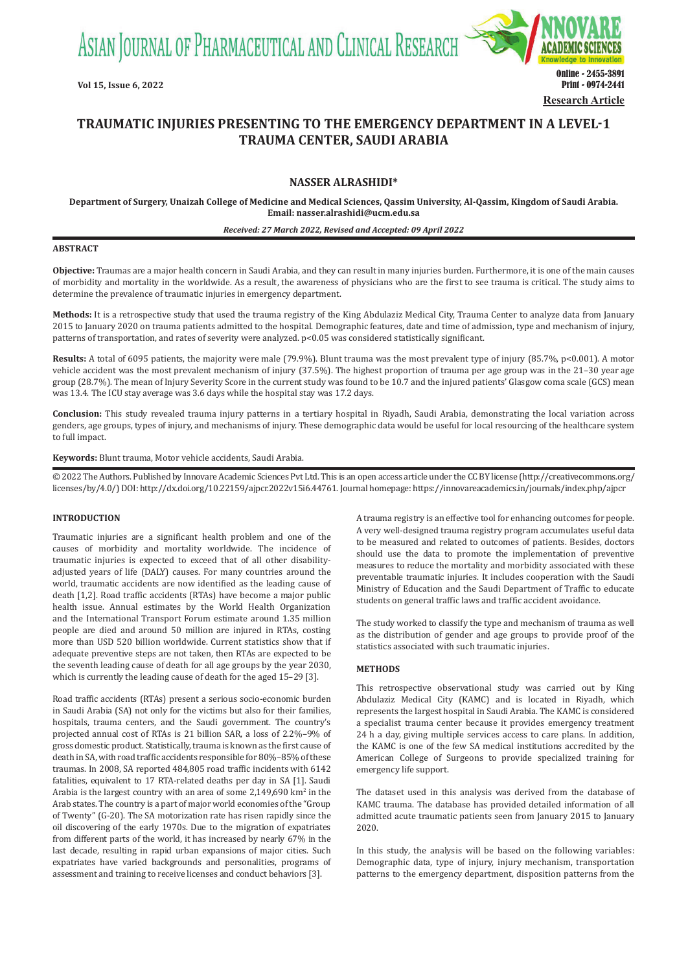ASIAN JOURNAL OF PHARMACEUTICAL AND CLINICAL RESEARCH



# **TRAUMATIC INJURIES PRESENTING TO THE EMERGENCY DEPARTMENT IN A LEVEL-1 TRAUMA CENTER, SAUDI ARABIA**

# **NASSER ALRASHIDI\***

**Department of Surgery, Unaizah College of Medicine and Medical Sciences, Qassim University, Al-Qassim, Kingdom of Saudi Arabia. Email: nasser.alrashidi@ucm.edu.sa**

#### *Received: 27 March 2022, Revised and Accepted: 09 April 2022*

#### **ABSTRACT**

**Objective:** Traumas are a major health concern in Saudi Arabia, and they can result in many injuries burden. Furthermore, it is one of the main causes of morbidity and mortality in the worldwide. As a result, the awareness of physicians who are the first to see trauma is critical. The study aims to determine the prevalence of traumatic injuries in emergency department.

**Methods:** It is a retrospective study that used the trauma registry of the King Abdulaziz Medical City, Trauma Center to analyze data from January 2015 to January 2020 on trauma patients admitted to the hospital. Demographic features, date and time of admission, type and mechanism of injury, patterns of transportation, and rates of severity were analyzed. p<0.05 was considered statistically significant.

**Results:** A total of 6095 patients, the majority were male (79.9%). Blunt trauma was the most prevalent type of injury (85.7%, p<0.001). A motor vehicle accident was the most prevalent mechanism of injury (37.5%). The highest proportion of trauma per age group was in the 21–30 year age group (28.7%). The mean of Injury Severity Score in the current study was found to be 10.7 and the injured patients' Glasgow coma scale (GCS) mean was 13.4. The ICU stay average was 3.6 days while the hospital stay was 17.2 days.

**Conclusion:** This study revealed trauma injury patterns in a tertiary hospital in Riyadh, Saudi Arabia, demonstrating the local variation across genders, age groups, types of injury, and mechanisms of injury. These demographic data would be useful for local resourcing of the healthcare system to full impact.

**Keywords:** Blunt trauma, Motor vehicle accidents, Saudi Arabia.

© 2022 The Authors. Published by Innovare Academic Sciences Pvt Ltd. This is an open access article under the CC BY license (http://creativecommons.org/ licenses/by/4.0/) DOI: http://dx.doi.org/10.22159/ajpcr.2022v15i6.44761. Journal homepage: https://innovareacademics.in/journals/index.php/ajpcr

# **INTRODUCTION**

Traumatic injuries are a significant health problem and one of the causes of morbidity and mortality worldwide. The incidence of traumatic injuries is expected to exceed that of all other disabilityadjusted years of life (DALY) causes. For many countries around the world, traumatic accidents are now identified as the leading cause of death [1,2]. Road traffic accidents (RTAs) have become a major public health issue. Annual estimates by the World Health Organization and the International Transport Forum estimate around 1.35 million people are died and around 50 million are injured in RTAs, costing more than USD 520 billion worldwide. Current statistics show that if adequate preventive steps are not taken, then RTAs are expected to be the seventh leading cause of death for all age groups by the year 2030, which is currently the leading cause of death for the aged 15–29 [3].

Road traffic accidents (RTAs) present a serious socio-economic burden in Saudi Arabia (SA) not only for the victims but also for their families, hospitals, trauma centers, and the Saudi government. The country's projected annual cost of RTAs is 21 billion SAR, a loss of 2.2%–9% of gross domestic product. Statistically, trauma is known as the first cause of death in SA, with road traffic accidents responsible for 80%–85% of these traumas. In 2008, SA reported 484,805 road traffic incidents with 6142 fatalities, equivalent to 17 RTA-related deaths per day in SA [1]. Saudi Arabia is the largest country with an area of some  $2,149,690$  km<sup>2</sup> in the Arab states. The country is a part of major world economies of the "Group of Twenty" (G-20). The SA motorization rate has risen rapidly since the oil discovering of the early 1970s. Due to the migration of expatriates from different parts of the world, it has increased by nearly 67% in the last decade, resulting in rapid urban expansions of major cities. Such expatriates have varied backgrounds and personalities, programs of assessment and training to receive licenses and conduct behaviors [3].

A trauma registry is an effective tool for enhancing outcomes for people. A very well-designed trauma registry program accumulates useful data to be measured and related to outcomes of patients. Besides, doctors should use the data to promote the implementation of preventive measures to reduce the mortality and morbidity associated with these preventable traumatic injuries. It includes cooperation with the Saudi Ministry of Education and the Saudi Department of Traffic to educate students on general traffic laws and traffic accident avoidance.

The study worked to classify the type and mechanism of trauma as well as the distribution of gender and age groups to provide proof of the statistics associated with such traumatic injuries.

### **METHODS**

This retrospective observational study was carried out by King Abdulaziz Medical City (KAMC) and is located in Riyadh, which represents the largest hospital in Saudi Arabia. The KAMC is considered a specialist trauma center because it provides emergency treatment 24 h a day, giving multiple services access to care plans. In addition, the KAMC is one of the few SA medical institutions accredited by the American College of Surgeons to provide specialized training for emergency life support.

The dataset used in this analysis was derived from the database of KAMC trauma. The database has provided detailed information of all admitted acute traumatic patients seen from January 2015 to January 2020.

In this study, the analysis will be based on the following variables: Demographic data, type of injury, injury mechanism, transportation patterns to the emergency department, disposition patterns from the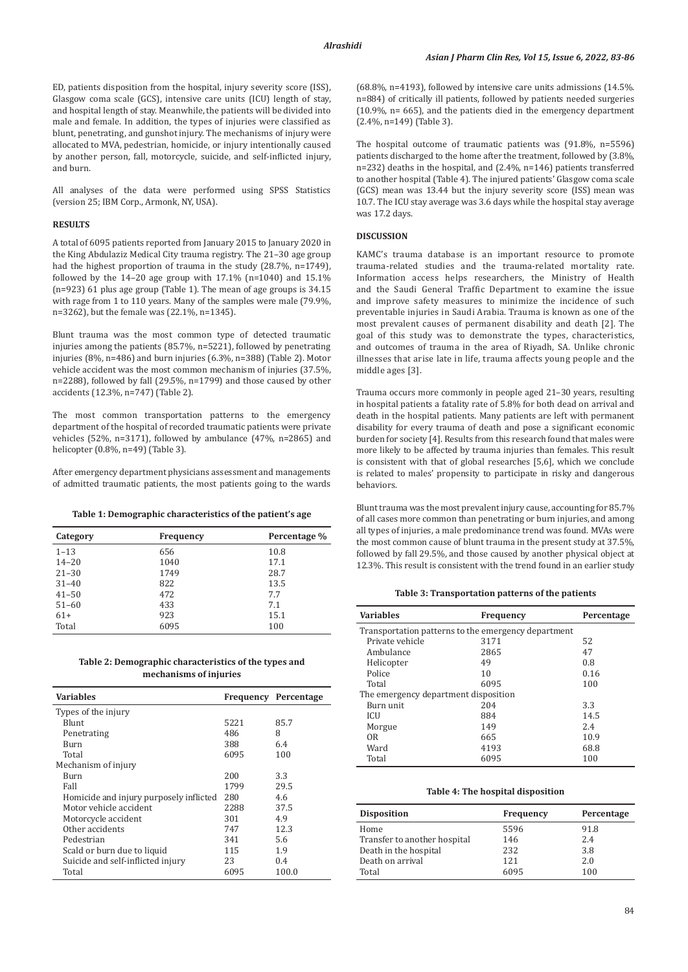ED, patients disposition from the hospital, injury severity score (ISS), Glasgow coma scale (GCS), intensive care units (ICU) length of stay, and hospital length of stay. Meanwhile, the patients will be divided into male and female. In addition, the types of injuries were classified as blunt, penetrating, and gunshot injury. The mechanisms of injury were allocated to MVA, pedestrian, homicide, or injury intentionally caused by another person, fall, motorcycle, suicide, and self-inflicted injury, and burn.

All analyses of the data were performed using SPSS Statistics (version 25; IBM Corp., Armonk, NY, USA).

# **RESULTS**

A total of 6095 patients reported from January 2015 to January 2020 in the King Abdulaziz Medical City trauma registry. The 21–30 age group had the highest proportion of trauma in the study (28.7%, n=1749), followed by the 14–20 age group with 17.1% (n=1040) and 15.1% (n=923) 61 plus age group (Table 1). The mean of age groups is 34.15 with rage from 1 to 110 years. Many of the samples were male (79.9%, n=3262), but the female was (22.1%, n=1345).

Blunt trauma was the most common type of detected traumatic injuries among the patients (85.7%, n=5221), followed by penetrating injuries (8%, n=486) and burn injuries (6.3%, n=388) (Table 2). Motor vehicle accident was the most common mechanism of injuries (37.5%, n=2288), followed by fall (29.5%, n=1799) and those caused by other accidents (12.3%, n=747) (Table 2).

The most common transportation patterns to the emergency department of the hospital of recorded traumatic patients were private vehicles (52%, n=3171), followed by ambulance (47%, n=2865) and helicopter (0.8%, n=49) (Table 3).

After emergency department physicians assessment and managements of admitted traumatic patients, the most patients going to the wards

#### **Table 1: Demographic characteristics of the patient's age**

| Category  | Frequency | Percentage % |
|-----------|-----------|--------------|
| $1 - 13$  | 656       | 10.8         |
| $14 - 20$ | 1040      | 17.1         |
| $21 - 30$ | 1749      | 28.7         |
| $31 - 40$ | 822       | 13.5         |
| $41 - 50$ | 472       | 7.7          |
| $51 - 60$ | 433       | 7.1          |
| $61+$     | 923       | 15.1         |
| Total     | 6095      | 100          |

# **Table 2: Demographic characteristics of the types and mechanisms of injuries**

| <b>Variables</b>                        |      | <b>Frequency Percentage</b> |
|-----------------------------------------|------|-----------------------------|
| Types of the injury                     |      |                             |
| Blunt                                   | 5221 | 85.7                        |
| Penetrating                             | 486  | 8                           |
| Burn                                    | 388  | 6.4                         |
| Total                                   | 6095 | 100                         |
| Mechanism of injury                     |      |                             |
| Burn                                    | 200  | 3.3                         |
| Fall                                    | 1799 | 29.5                        |
| Homicide and injury purposely inflicted | 280  | 4.6                         |
| Motor vehicle accident                  | 2288 | 37.5                        |
| Motorcycle accident                     | 301  | 4.9                         |
| Other accidents                         | 747  | 12.3                        |
| Pedestrian                              | 341  | 5.6                         |
| Scald or burn due to liquid             | 115  | 1.9                         |
| Suicide and self-inflicted injury       | 23   | 0.4                         |
| Total                                   | 6095 | 100.0                       |

(68.8%, n=4193), followed by intensive care units admissions (14.5%. n=884) of critically ill patients, followed by patients needed surgeries (10.9%, n= 665), and the patients died in the emergency department (2.4%, n=149) (Table 3).

The hospital outcome of traumatic patients was (91.8%, n=5596) patients discharged to the home after the treatment, followed by (3.8%, n=232) deaths in the hospital, and (2.4%, n=146) patients transferred to another hospital (Table 4). The injured patients' Glasgow coma scale (GCS) mean was 13.44 but the injury severity score (ISS) mean was 10.7. The ICU stay average was 3.6 days while the hospital stay average was 17.2 days.

# **DISCUSSION**

KAMC's trauma database is an important resource to promote trauma-related studies and the trauma-related mortality rate. Information access helps researchers, the Ministry of Health and the Saudi General Traffic Department to examine the issue and improve safety measures to minimize the incidence of such preventable injuries in Saudi Arabia. Trauma is known as one of the most prevalent causes of permanent disability and death [2]. The goal of this study was to demonstrate the types, characteristics, and outcomes of trauma in the area of Riyadh, SA. Unlike chronic illnesses that arise late in life, trauma affects young people and the middle ages [3].

Trauma occurs more commonly in people aged 21–30 years, resulting in hospital patients a fatality rate of 5.8% for both dead on arrival and death in the hospital patients. Many patients are left with permanent disability for every trauma of death and pose a significant economic burden for society [4]. Results from this research found that males were more likely to be affected by trauma injuries than females. This result is consistent with that of global researches [5,6], which we conclude is related to males' propensity to participate in risky and dangerous behaviors.

Blunt trauma was the most prevalent injury cause, accounting for 85.7% of all cases more common than penetrating or burn injuries, and among all types of injuries, a male predominance trend was found. MVAs were the most common cause of blunt trauma in the present study at 37.5%, followed by fall 29.5%, and those caused by another physical object at 12.3%. This result is consistent with the trend found in an earlier study

# **Table 3: Transportation patterns of the patients**

| <b>Variables</b>                                    | Frequency | Percentage |  |  |
|-----------------------------------------------------|-----------|------------|--|--|
| Transportation patterns to the emergency department |           |            |  |  |
| Private vehicle                                     | 3171      | 52         |  |  |
| Ambulance                                           | 2865      | 47         |  |  |
| Helicopter                                          | 49        | 0.8        |  |  |
| Police                                              | 10        | 0.16       |  |  |
| Total                                               | 6095      | 100        |  |  |
| The emergency department disposition                |           |            |  |  |
| Burn unit                                           | 204       | 3.3        |  |  |
| <b>ICU</b>                                          | 884       | 14.5       |  |  |
| Morgue                                              | 149       | 2.4        |  |  |
| 0 <sub>R</sub>                                      | 665       | 10.9       |  |  |
| Ward                                                | 4193      | 68.8       |  |  |
| Total                                               | 6095      | 100        |  |  |

#### **Table 4: The hospital disposition**

| <b>Disposition</b>           | Frequency | Percentage |
|------------------------------|-----------|------------|
| Home                         | 5596      | 91.8       |
| Transfer to another hospital | 146       | 2.4        |
| Death in the hospital        | 232       | 3.8        |
| Death on arrival             | 121       | 2.0        |
| Total                        | 6095      | 100        |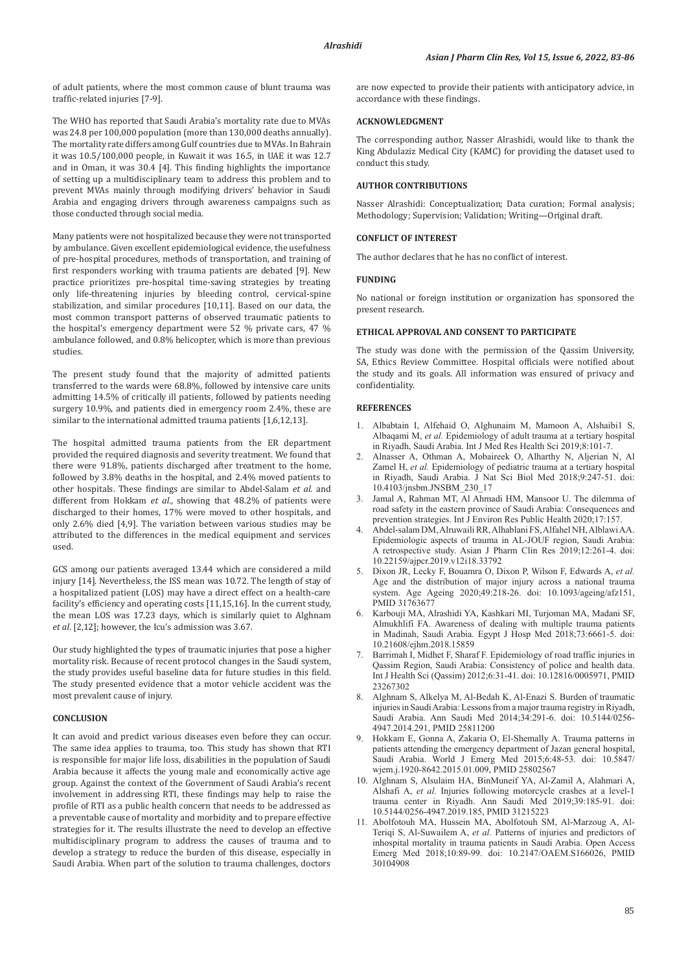of adult patients, where the most common cause of blunt trauma was traffic-related injuries [7-9].

The WHO has reported that Saudi Arabia's mortality rate due to MVAs was 24.8 per 100,000 population (more than 130,000 deaths annually). The mortality rate differs among Gulf countries due to MVAs. In Bahrain it was 10.5/100,000 people, in Kuwait it was 16.5, in UAE it was 12.7 and in Oman, it was 30.4 [4]. This finding highlights the importance of setting up a multidisciplinary team to address this problem and to prevent MVAs mainly through modifying drivers' behavior in Saudi Arabia and engaging drivers through awareness campaigns such as those conducted through social media.

Many patients were not hospitalized because they were not transported by ambulance. Given excellent epidemiological evidence, the usefulness of pre-hospital procedures, methods of transportation, and training of first responders working with trauma patients are debated [9]. New practice prioritizes pre-hospital time-saving strategies by treating only life-threatening injuries by bleeding control, cervical-spine stabilization, and similar procedures [10,11]. Based on our data, the most common transport patterns of observed traumatic patients to the hospital's emergency department were 52 % private cars, 47 % ambulance followed, and 0.8% helicopter, which is more than previous studies.

The present study found that the majority of admitted patients transferred to the wards were 68.8%, followed by intensive care units admitting 14.5% of critically ill patients, followed by patients needing surgery 10.9%, and patients died in emergency room 2.4%, these are similar to the international admitted trauma patients [1,6,12,13].

The hospital admitted trauma patients from the ER department provided the required diagnosis and severity treatment. We found that there were 91.8%, patients discharged after treatment to the home, followed by 3.8% deaths in the hospital, and 2.4% moved patients to other hospitals. These findings are similar to Abdel-Salam *et al*. and different from Hokkam *et al*., showing that 48.2% of patients were discharged to their homes, 17% were moved to other hospitals, and only 2.6% died [4,9]. The variation between various studies may be attributed to the differences in the medical equipment and services used.

GCS among our patients averaged 13.44 which are considered a mild injury [14]. Nevertheless, the ISS mean was 10.72. The length of stay of a hospitalized patient (LOS) may have a direct effect on a health-care facility's efficiency and operating costs [11,15,16]. In the current study, the mean LOS was 17.23 days, which is similarly quiet to Alghnam *et al*. [2,12]; however, the Icu's admission was 3.67.

Our study highlighted the types of traumatic injuries that pose a higher mortality risk. Because of recent protocol changes in the Saudi system, the study provides useful baseline data for future studies in this field. The study presented evidence that a motor vehicle accident was the most prevalent cause of injury.

#### **CONCLUSION**

It can avoid and predict various diseases even before they can occur. The same idea applies to trauma, too. This study has shown that RTI is responsible for major life loss, disabilities in the population of Saudi Arabia because it affects the young male and economically active age group. Against the context of the Government of Saudi Arabia's recent involvement in addressing RTI, these findings may help to raise the profile of RTI as a public health concern that needs to be addressed as a preventable cause of mortality and morbidity and to prepare effective strategies for it. The results illustrate the need to develop an effective multidisciplinary program to address the causes of trauma and to develop a strategy to reduce the burden of this disease, especially in Saudi Arabia. When part of the solution to trauma challenges, doctors

are now expected to provide their patients with anticipatory advice, in accordance with these findings.

# **ACKNOWLEDGMENT**

The corresponding author, Nasser Alrashidi, would like to thank the King Abdulaziz Medical City (KAMC) for providing the dataset used to conduct this study.

# **AUTHOR CONTRIBUTIONS**

Nasser Alrashidi: Conceptualization; Data curation; Formal analysis; Methodology; Supervision; Validation; Writing—Original draft.

#### **CONFLICT OF INTEREST**

The author declares that he has no conflict of interest.

#### **FUNDING**

No national or foreign institution or organization has sponsored the present research.

#### **ETHICAL APPROVAL AND CONSENT TO PARTICIPATE**

The study was done with the permission of the Qassim University, SA, Ethics Review Committee. Hospital officials were notified about the study and its goals. All information was ensured of privacy and confidentiality.

# **REFERENCES**

- 1. Albabtain I, Alfehaid O, Alghunaim M, Mamoon A, Alshaibi1 S, Albaqami M, *et al.* Epidemiology of adult trauma at a tertiary hospital in Riyadh, Saudi Arabia. Int J Med Res Health Sci 2019;8:101-7.
- 2. Alnasser A, Othman A, Mobaireek O, Alharthy N, Aljerian N, Al Zamel H, *et al.* Epidemiology of pediatric trauma at a tertiary hospital in Riyadh, Saudi Arabia. J Nat Sci Biol Med 2018;9:247-51. doi: 10.4103/jnsbm.JNSBM\_230\_17
- Jamal A, Rahman MT, Al Ahmadi HM, Mansoor U. The dilemma of road safety in the eastern province of Saudi Arabia: Consequences and prevention strategies. Int J Environ Res Public Health 2020;17:157.
- 4. Abdel-salam DM, Alruwaili RR, Alhablani FS, Alfahel NH, AlblawiAA. Epidemiologic aspects of trauma in AL-JOUF region, Saudi Arabia: A retrospective study. Asian J Pharm Clin Res 2019;12:261-4. doi: 10.22159/ajpcr.2019.v12i18.33792
- 5. Dixon JR, Lecky F, Bouamra O, Dixon P, Wilson F, Edwards A, *et al.*  Age and the distribution of major injury across a national trauma system. Age Ageing 2020;49:218-26. doi: 10.1093/ageing/afz151, PMID 31763677
- 6. Karbouji MA, Alrashidi YA, Kashkari MI, Turjoman MA, Madani SF, Almukhlifi FA. Awareness of dealing with multiple trauma patients in Madinah, Saudi Arabia. Egypt J Hosp Med 2018;73:6661-5. doi: 10.21608/ejhm.2018.15859
- Barrimah I, Midhet F, Sharaf F. Epidemiology of road traffic injuries in Qassim Region, Saudi Arabia: Consistency of police and health data. Int J Health Sci (Qassim) 2012;6:31-41. doi: 10.12816/0005971, PMID 23267302
- 8. Alghnam S, Alkelya M, Al-Bedah K, Al-Enazi S. Burden of traumatic injuries in Saudi Arabia: Lessons from a major trauma registry in Riyadh, Saudi Arabia. Ann Saudi Med 2014;34:291-6. doi: 10.5144/0256- 4947.2014.291, PMID 25811200
- 9. Hokkam E, Gonna A, Zakaria O, El-Shemally A. Trauma patterns in patients attending the emergency department of Jazan general hospital, Saudi Arabia. World J Emerg Med 2015;6:48-53. doi: 10.5847/ wjem.j.1920-8642.2015.01.009, PMID 25802567
- 10. Alghnam S, Alsulaim HA, BinMuneif YA, Al-Zamil A, Alahmari A, Alshafi A, *et al.* Injuries following motorcycle crashes at a level-1 trauma center in Riyadh. Ann Saudi Med 2019;39:185-91. doi: 10.5144/0256-4947.2019.185, PMID 31215223
- 11. Abolfotouh MA, Hussein MA, Abolfotouh SM, Al-Marzoug A, Al-Teriqi S, Al-Suwailem A, *et al.* Patterns of injuries and predictors of inhospital mortality in trauma patients in Saudi Arabia. Open Access Emerg Med 2018;10:89-99. doi: 10.2147/OAEM.S166026, PMID 30104908